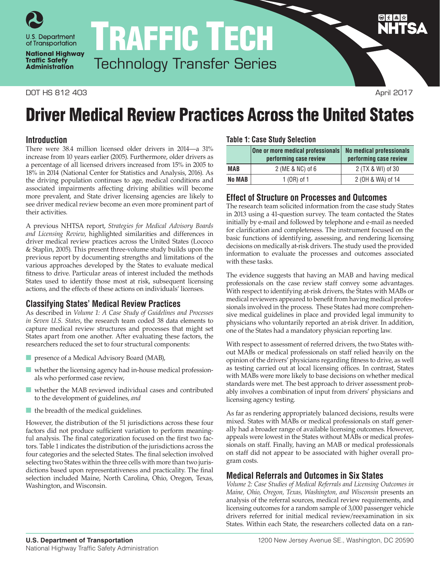

TRAFFIC TECH Technology Transfer Series

### DOT HS 812 403 April 2017

**National Highway Traffic Safety Administration** 

# **Table 1: Case Study Selection**

Driver Medical Review Practices Across the United States

|            | One or more medical professionals<br>performing case review | <b>No medical professionals</b><br>performing case review |
|------------|-------------------------------------------------------------|-----------------------------------------------------------|
| <b>MAB</b> | 2 (ME & NC) of 6                                            | 2 (TX & WI) of 30                                         |
| No MAB     | 1 $(OR)$ of 1                                               | 2 (OH & WA) of 14                                         |

## **Effect of Structure on Processes and Outcomes**

The research team solicited information from the case study States in 2013 using a 41-question survey. The team contacted the States initially by e-mail and followed by telephone and e-mail as needed for clarification and completeness. The instrument focused on the basic functions of identifying, assessing, and rendering licensing decisions on medically at-risk drivers. The study used the provided information to evaluate the processes and outcomes associated with these tasks.

The evidence suggests that having an MAB and having medical professionals on the case review staff convey some advantages. With respect to identifying at-risk drivers, the States with MABs or medical reviewers appeared to benefit from having medical professionals involved in the process. These States had more comprehensive medical guidelines in place and provided legal immunity to physicians who voluntarily reported an at-risk driver. In addition, one of the States had a mandatory physician reporting law.

With respect to assessment of referred drivers, the two States without MABs or medical professionals on staff relied heavily on the opinion of the drivers' physicians regarding fitness to drive, as well as testing carried out at local licensing offices. In contrast, States with MABs were more likely to base decisions on whether medical standards were met. The best approach to driver assessment probably involves a combination of input from drivers' physicians and licensing agency testing.

As far as rendering appropriately balanced decisions, results were mixed. States with MABs or medical professionals on staff generally had a broader range of available licensing outcomes. However, appeals were lowest in the States without MABs or medical professionals on staff. Finally, having an MAB or medical professionals on staff did not appear to be associated with higher overall program costs.

## **Medical Referrals and Outcomes in Six States**

*Volume 2: Case Studies of Medical Referrals and Licensing Outcomes in Maine, Ohio, Oregon, Texas, Washington, and Wisconsin* presents an analysis of the referral sources, medical review requirements, and licensing outcomes for a random sample of 3,000 passenger vehicle drivers referred for initial medical review/reexamination in six States. Within each State, the researchers collected data on a ran-

**Introduction**

There were 38.4 million licensed older drivers in 2014—a 31% increase from 10 years earlier (2005). Furthermore, older drivers as a percentage of all licensed drivers increased from 15% in 2005 to 18% in 2014 (National Center for Statistics and Analysis, 2016). As the driving population continues to age, medical conditions and associated impairments affecting driving abilities will become more prevalent, and State driver licensing agencies are likely to see driver medical review become an even more prominent part of their activities.

A previous NHTSA report, *Strategies for Medical Advisory Boards and Licensing Review*, highlighted similarities and differences in driver medical review practices across the United States (Lococo & Staplin, 2005). This present three-volume study builds upon the previous report by documenting strengths and limitations of the various approaches developed by the States to evaluate medical fitness to drive. Particular areas of interest included the methods States used to identify those most at risk, subsequent licensing actions, and the effects of these actions on individuals' licenses.

# **Classifying States' Medical Review Practices**

As described in *Volume 1: A Case Study of Guidelines and Processes in Seven U.S. States*, the research team coded 38 data elements to capture medical review structures and processes that might set States apart from one another. After evaluating these factors, the researchers reduced the set to four structural components:

- presence of a Medical Advisory Board (MAB),
- whether the licensing agency had in-house medical professionals who performed case review,
- whether the MAB reviewed individual cases and contributed to the development of guidelines, *and*
- the breadth of the medical guidelines.

However, the distribution of the 51 jurisdictions across these four factors did not produce sufficient variation to perform meaningful analysis. The final categorization focused on the first two factors. Table 1 indicates the distribution of the jurisdictions across the four categories and the selected States. The final selection involved selecting two States within the three cells with more than two jurisdictions based upon representativeness and practicality. The final selection included Maine, North Carolina, Ohio, Oregon, Texas, Washington, and Wisconsin.